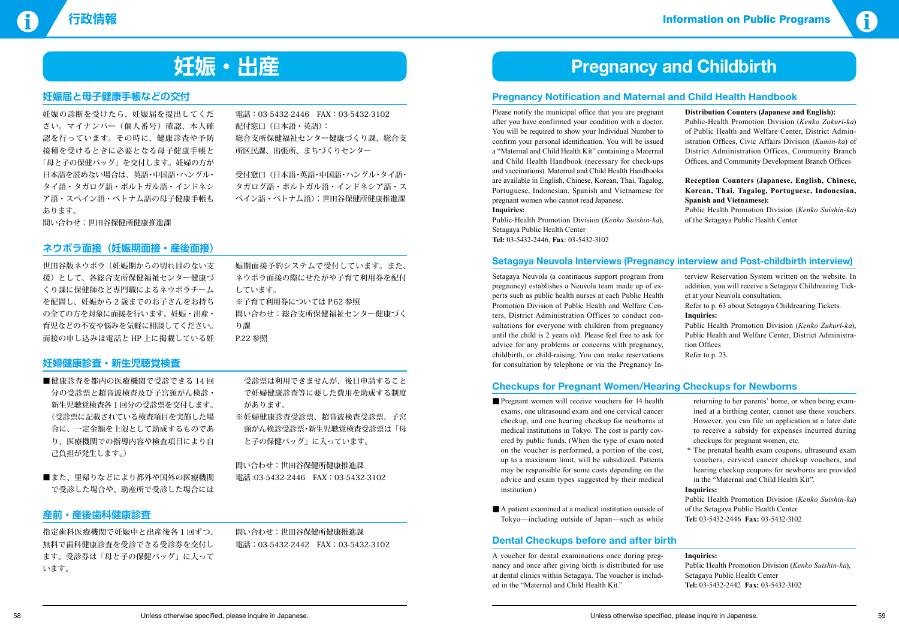

# **妊娠・出産 Pregnancy and Childbirth**

# **妊娠届と母子健康手帳などの交付**

妊娠の診断を受けたら、妊娠届を提出してくだ さい。マイナンバー(個人番号)確認、本人確 認を行っています。その時に、健康診査や予防 接種を受けるときに必要となる母子健康手帳と 「母と子の保健バッグ」 を交付します。妊婦の方が 日本語を読めない場合は、英語・中国語・ハングル・ タイ語・タガログ語・ポルトガル語・インドネシ ア語・スペイン語・ベトナム語の母子健康手帳も あります。

問い合わせ:世田谷保健所健康推進課

電話:03-5432-2446 FAX:03-5432-3102 配付窓口(日本語・英語): 総合支所保健福祉センター健康づくり課、総合支 所区民課、出張所、まちづくりセンター

受付窓口(日本語・英語・中国語・ハングル・タイ語・ タガログ語・ポルトガル語・インドネシア語・ス ペイン語・ベトナム語):世田谷保健所健康推進課

- ■健康診査を都内の医療機関で受診できる 14回 分の受診票と超音波検査及び子宮頸がん検診・ 新生児聴覚検査各 1 回分の受診票を交付します。 (受診票に記載されている検査項目を実施した場 合に、一定金額を上限として助成するものであ り、医療機関での指導内容や検査項目により自 己負担が発生します。)
- ■また、里帰りなどにより都外や国外の医療機関 で受診した場合や、助産所で受診した場合には

# **ネウボラ面接(妊娠期面接・産後面接)**

※妊婦健康診査受診票、超音波検査受診票、子宮 頸がん検診受診票・新生児聴覚検査受診票は「母 と子の保健バッグ」に入っています。

世田谷版ネウボラ(妊娠期からの切れ目のない支 援)として、各総合支所保健福祉センター健康づ くり課に保健師など専門職によるネウボラチーム を配置し、妊娠から 2 歳までのお子さんをお持ち の全ての方を対象に面接を行います。妊娠・出産・ 育児などの不安や悩みを気軽に相談してください。 面接の申し込みは電話と HP 上に掲載している妊 娠期面接予約システムで受付しています。また、 ネウボラ面接の際にせたがや子育て利用券を配付 しています。 ※子育て利用券については P.62 参照 問い合わせ:総合支所保健福祉センター健康づく り課 P.22 参照

# **妊婦健康診査・新生児聴覚検査**

受診票は利用できませんが、後日申請すること で妊婦健康診査等に要した費用を助成する制度 があります。

問い合わせ:世田谷保健所健康推進課 電話 :03-5432-2446 FAX:03-5432-3102

# **産前・産後歯科健康診査**

指定歯科医療機関で妊娠中と出産後各 1 回ずつ、 無料で歯科健康診査を受診できる受診券を交付し ます。受診券は「母と子の保健バッグ」に入って います。

問い合わせ:世田谷保健所健康推進課 電話:03-5432-2442 FAX:03-5432-3102

# **Pregnancy Notification and Maternal and Child Health Handbook**

Please notify the municipal office that you are pregnant after you have confirmed your condition with a doctor. You will be required to show your Individual Number to confirm your personal identification. You will be issued a "Maternal and Child Health Kit" containing a Maternal and Child Health Handbook (necessary for check-ups and vaccinations). Maternal and Child Health Handbooks are available in English, Chinese, Korean, Thai, Tagalog, Portuguese, Indonesian, Spanish and Vietnamese for pregnant women who cannot read Japanese.

### **Inquiries:**

Public-Health Promotion Division (*Kenko Suishin-ka*), Setagaya Public Health Center **Tel:** 03-5432-2446, **Fax**: 03-5432-3102

- Pregnant women will receive vouchers for 14 health exams, one ultrasound exam and one cervical cancer checkup, and one hearing checkup for newborns at medical institutions in Tokyo. The cost is partly covered by public funds. (When the type of exam noted on the voucher is performed, a portion of the cost, up to a maximum limit, will be subsidized. Patients may be responsible for some costs depending on the advice and exam types suggested by their medical institution.)
- A patient examined at a medical institution outside of Tokyo—including outside of Japan—such as while

#### **Distribution Counters (Japanese and English):**

Public-Health Promotion Division (*Kenko Zukuri-ka*) of Public Health and Welfare Center, District Administration Offices, Civic Affairs Division (*Kumin-ka*) of District Administration Offices, Community Branch Offices, and Community Development Branch Offices

**Reception Counters (Japanese, English, Chinese, Korean, Thai, Tagalog, Portuguese, Indonesian, Spanish and Vietnamese):**

Public Health Promotion Division (*Kenko Suishin-ka*) of the Setagaya Public Health Center

# **Setagaya Neuvola Interviews (Pregnancy interview and Post-childbirth interview)**

Setagaya Neuvola (a continuous support program from pregnancy) establishes a Neuvola team made up of experts such as public health nurses at each Public Health Promotion Division of Public Health and Welfare Centers, District Administration Offices to conduct consultations for everyone with children from pregnancy until the child is 2 years old. Please feel free to ask for advice for any problems or concerns with pregnancy, childbirth, or child-raising. You can make reservations for consultation by telephone or via the Pregnancy In-

- terview Reservation System written on the website. In addition, you will receive a Setagaya Childrearing Ticket at your Neuvola consultation.
- Refer to p. 63 about Setagaya Childrearing Tickets. **Inquiries:**
- Public Health Promotion Division (*Kenko Zukuri-ka*), Public Health and Welfare Center, District Administration Offices
- Refer to p. 23.

# **Checkups for Pregnant Women/Hearing Checkups for Newborns**

returning to her parents' home, or when being examined at a birthing center, cannot use these vouchers. However, you can file an application at a later date to receive a subsidy for expenses incurred during checkups for pregnant women, etc.

\* The prenatal health exam coupons, ultrasound exam vouchers, cervical cancer checkup vouchers, and hearing checkup coupons for newborns are provided in the "Maternal and Child Health Kit".

#### **Inquiries:**

Public Health Promotion Division (*Kenko Suishin-ka*) of the Setagaya Public Health Center **Tel:** 03-5432-2446 **Fax:** 03-5432-3102

# **Dental Checkups before and after birth**

A voucher for dental examinations once during pregnancy and once after giving birth is distributed for use at dental clinics within Setagaya. The voucher is included in the "Maternal and Child Health Kit."

**Inquiries:**

Public Health Promotion Division (*Kenko Suishin-ka*), Setagaya Public Health Center **Tel:** 03-5432-2442 **Fax:** 03-5432-3102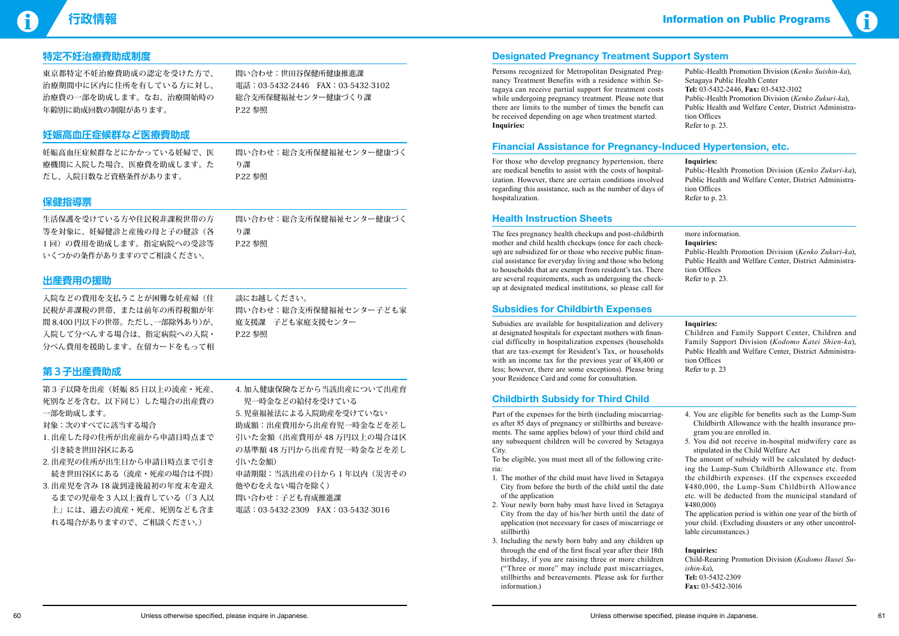

# **特定不妊治療費助成制度**

東京都特定不妊治療費助成の認定を受けた方で、 治療期間中に区内に住所を有している方に対し、 治療費の一部を助成します。なお、治療開始時の 年齢別に助成回数の制限があります。

問い合わせ:世田谷保健所健康推進課 電話:03-5432-2446 FAX:03-5432-3102 総合支所保健福祉センター健康づくり課 P.22 参照

# **妊娠高血圧症候群など医療費助成**

入院などの費用を支払うことが困難な妊産婦(住 民税が非課税の世帯、または前年の所得税額が年 間 8,400 円以下の世帯。ただし、一部除外あり)が、 入院して分べんする場合は、指定病院への入院・ 分べん費用を援助します。在留カードをもって相

妊娠高血圧症候群などにかかっている妊婦で、医 療機関に入院した場合、医療費を助成します。た だし、入院日数など資格条件があります。

問い合わせ:総合支所保健福祉センター健康づく り課 P.22 参照

# **保健指導票**

生活保護を受けている方や住民税非課税世帯の方 等を対象に、妊婦健診と産後の母と子の健診(各 1回)の費用を助成します。指定病院への受診等 いくつかの条件がありますのでご相談ください。

- 1. 出産した母の住所が出産前から申請日時点まで 引き続き世田谷区にある
- 2. 出産児の住所が出生日から申請日時点まで引き 続き世田谷区にある(流産・死産の場合は不問)
- 3. 出産児を含み 18 歳到達後最初の年度末を迎え るまでの児童を 3人以上養育している(「3人以 上」 には、過去の流産・死産、死別なども含ま れる場合がありますので、ご相談ください。)

問い合わせ:総合支所保健福祉センター健康づく り課 P.22 参照

# **出産費用の援助**

4. 加入健康保険などから当該出産について出産育 児一時金などの給付を受けている 5. 児童福祉法による入院助産を受けていない 助成額:出産費用から出産育児一時金などを差し 引いた金額(出産費用が 48 万円以上の場合は区 の基準額 48 万円から出産育児一時金などを差し 引いた金額) 申請期限:当該出産の日から 1 年以内(災害その 他やむをえない場合を除く) 問い合わせ:子ども育成推進課 電話:03-5432-2309 FAX:03-5432-3016

談にお越しください。 問い合わせ:総合支所保健福祉センター子ども家 庭支援課 子ども家庭支援センター P.22 参照

# **第3子出産費助成**

第3子以降を出産(妊娠 85 日以上の流産・死産、 死別などを含む。以下同じ)した場合の出産費の 一部を助成します。

対象:次のすべてに該当する場合

# **Designated Pregnancy Treatment Support System**

Persons recognized for Metropolitan Designated Pregnancy Treatment Benefits with a residence within Setagaya can receive partial support for treatment costs while undergoing pregnancy treatment. Please note that there are limits to the number of times the benefit can be received depending on age when treatment started. **Inquiries:**

Public-Health Promotion Division (*Kenko Suishin-ka*), Setagaya Public Health Center **Tel:** 03-5432-2446, **Fax:** 03-5432-3102 Public-Health Promotion Division (*Kenko Zukuri-ka*), Public Health and Welfare Center, District Administration Offices Refer to p. 23.

# **Financial Assistance for Pregnancy-Induced Hypertension, etc.**

For those who develop pregnancy hypertension, there are medical benefits to assist with the costs of hospitalization. However, there are certain conditions involved regarding this assistance, such as the number of days of hospitalization.

#### **Inquiries:**

- Public-Health Promotion Division (*Kenko Zukuri-ka*), Public Health and Welfare Center, District Administration Offices
- Refer to p. 23.

# **Health Instruction Sheets**

The fees pregnancy health checkups and post-childbirth mother and child health checkups (once for each checkup) are subsidized for or those who receive public financial assistance for everyday living and those who belong to households that are exempt from resident's tax. There are several requirements, such as undergoing the checkup at designated medical institutions, so please call for

more information. **Inquiries:**

Public-Health Promotion Division (*Kenko Zukuri-ka*), Public Health and Welfare Center, District Administration Offices Refer to p. 23.

## **Subsidies for Childbirth Expenses**

Subsidies are available for hospitalization and delivery at designated hospitals for expectant mothers with financial difficulty in hospitalization expenses (households that are tax-exempt for Resident's Tax, or households with an income tax for the previous year of ¥8,400 or less; however, there are some exceptions). Please bring your Residence Card and come for consultation.

**Inquiries:** Children and Family Support Center, Children and Family Support Division (*Kodomo Katei Shien-ka*), Public Health and Welfare Center, District Administration Offices Refer to p. 23

# **Childbirth Subsidy for Third Child**

Part of the expenses for the birth (including miscarriages after 85 days of pregnancy or stillbirths and bereavements. The same applies below) of your third child and any subsequent children will be covered by Setagaya City.

To be eligible, you must meet all of the following criteria:

- 1. The mother of the child must have lived in Setagaya City from before the birth of the child until the date of the application
- 2. Your newly born baby must have lived in Setagaya City from the day of his/her birth until the date of application (not necessary for cases of miscarriage or stillbirth)
- 3. Including the newly born baby and any children up through the end of the first fiscal year after their 18th birthday, if you are raising three or more children ("Three or more" may include past miscarriages, stillbirths and bereavements. Please ask for further information.)
- 4. You are eligible for benefits such as the Lump-Sum Childbirth Allowance with the health insurance program you are enrolled in.
- 5. You did not receive in-hospital midwifery care as stipulated in the Child Welfare Act

The amount of subsidy will be calculated by deducting the Lump-Sum Childbirth Allowance etc. from the childbirth expenses. (If the expenses exceeded ¥480,000, the Lump-Sum Childbirth Allowance etc. will be deducted from the municipal standard of ¥480,000)

The application period is within one year of the birth of your child. (Excluding disasters or any other uncontrollable circumstances.)

#### **Inquiries:**

Child-Rearing Promotion Division (*Kodomo Ikusei Suishin-ka*), **Tel:** 03-5432-2309 **Fax:** 03-5432-3016